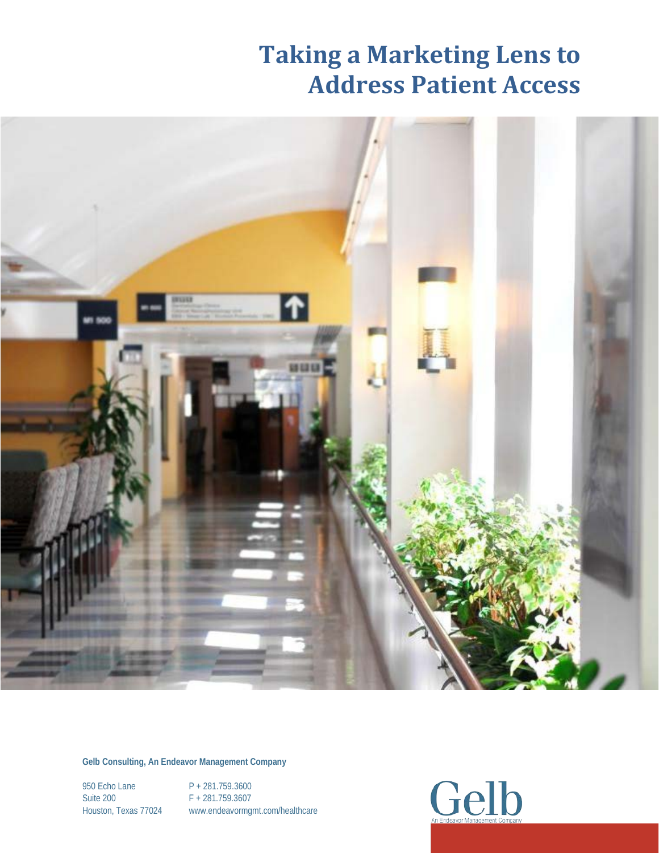

**Gelb Consulting, An Endeavor Management Company**

950 Echo Lane P + 281.759.3600 Suite 200 F + 281.759.3607

Houston, Texas 77024 www.endeavormgmt.com/healthcare

**Gelb**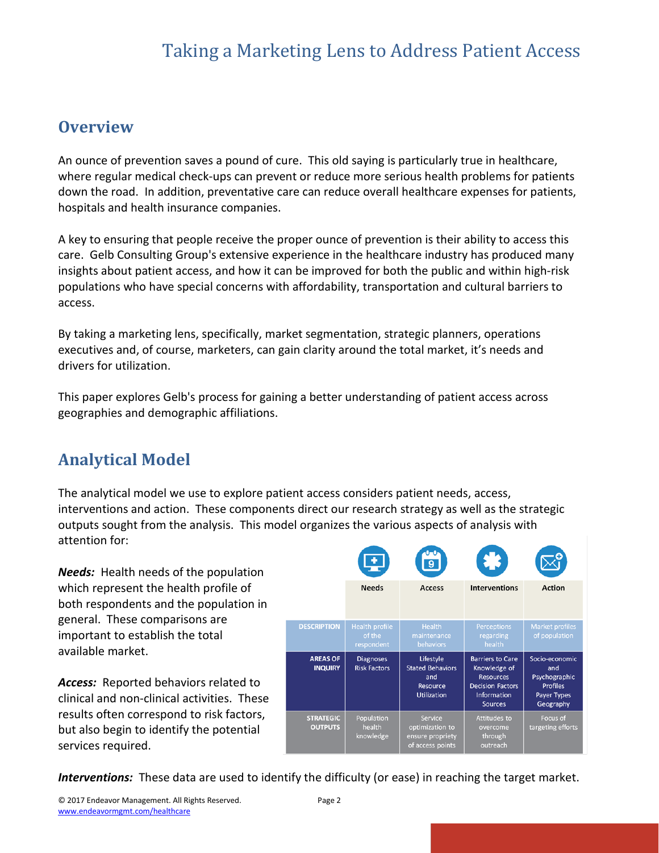#### **Overview**

An ounce of prevention saves a pound of cure. This old saying is particularly true in healthcare, where regular medical check-ups can prevent or reduce more serious health problems for patients down the road. In addition, preventative care can reduce overall healthcare expenses for patients, hospitals and health insurance companies.

A key to ensuring that people receive the proper ounce of prevention is their ability to access this care. Gelb Consulting Group's extensive experience in the healthcare industry has produced many insights about patient access, and how it can be improved for both the public and within high-risk populations who have special concerns with affordability, transportation and cultural barriers to access.

By taking a marketing lens, specifically, market segmentation, strategic planners, operations executives and, of course, marketers, can gain clarity around the total market, it's needs and drivers for utilization.

This paper explores Gelb's process for gaining a better understanding of patient access across geographies and demographic affiliations.

#### **Analytical Model**

The analytical model we use to explore patient access considers patient needs, access, interventions and action. These components direct our research strategy as well as the strategic outputs sought from the analysis. This model organizes the various aspects of analysis with attention for:

*Needs:* Health needs of the population which represent the health profile of both respondents and the population in general. These comparisons are important to establish the total available market.

*Access:* Reported behaviors related to clinical and non-clinical activities. These results often correspond to risk factors, but also begin to identify the potential services required.



*Interventions:* These data are used to identify the difficulty (or ease) in reaching the target market.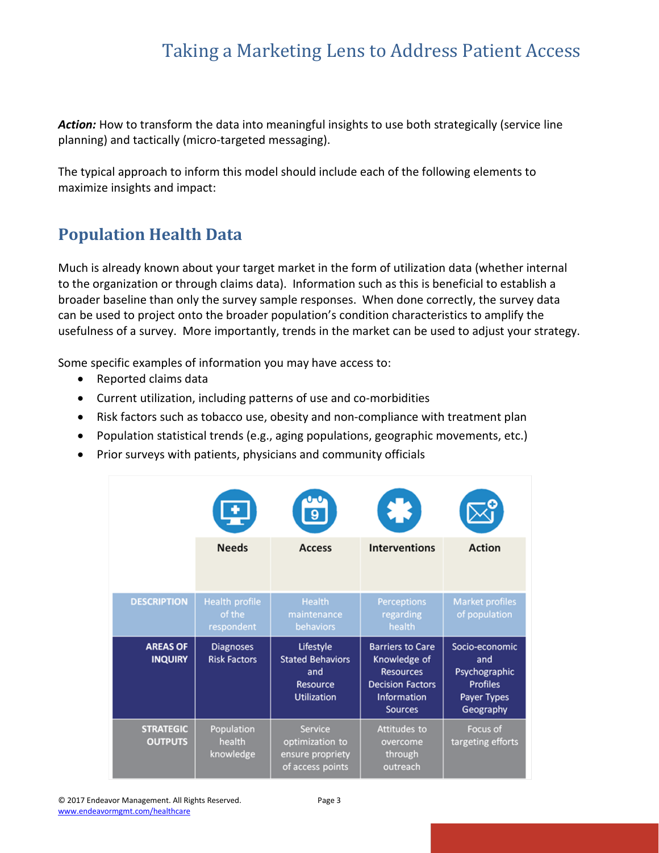Action: How to transform the data into meaningful insights to use both strategically (service line planning) and tactically (micro-targeted messaging).

The typical approach to inform this model should include each of the following elements to maximize insights and impact:

#### **Population Health Data**

Much is already known about your target market in the form of utilization data (whether internal to the organization or through claims data). Information such as this is beneficial to establish a broader baseline than only the survey sample responses. When done correctly, the survey data can be used to project onto the broader population's condition characteristics to amplify the usefulness of a survey. More importantly, trends in the market can be used to adjust your strategy.

Some specific examples of information you may have access to:

- Reported claims data
- Current utilization, including patterns of use and co-morbidities
- Risk factors such as tobacco use, obesity and non-compliance with treatment plan
- Population statistical trends (e.g., aging populations, geographic movements, etc.)
- Prior surveys with patients, physicians and community officials

|                                   |                                               | $\overline{9}$                                          | 裳                                                                                      |                                                           |
|-----------------------------------|-----------------------------------------------|---------------------------------------------------------|----------------------------------------------------------------------------------------|-----------------------------------------------------------|
|                                   | <b>Needs</b>                                  | <b>Access</b>                                           | <b>Interventions</b>                                                                   | <b>Action</b>                                             |
| <b>DESCRIPTION</b>                | <b>Health profile</b><br>of the<br>respondent | <b>Health</b><br>maintenance<br>behaviors               | <b>Perceptions</b><br>regarding<br>health                                              | <b>Market profiles</b><br>of population                   |
| <b>AREAS OF</b><br><b>INQUIRY</b> | <b>Diagnoses</b><br><b>Risk Factors</b>       | Lifestyle<br><b>Stated Behaviors</b><br>and<br>Resource | <b>Barriers to Care</b><br>Knowledge of<br><b>Resources</b><br><b>Decision Factors</b> | Socio-economic<br>and<br>Psychographic<br><b>Profiles</b> |
|                                   |                                               | <b>Utilization</b>                                      | <b>Information</b><br><b>Sources</b>                                                   | Payer Types<br>Geography                                  |

© 2017 Endeavor Management. All Rights Reserved. Page 3 [www.endeavormgmt.com/healthcare](http://www.endeavormgmt.com/healthcare)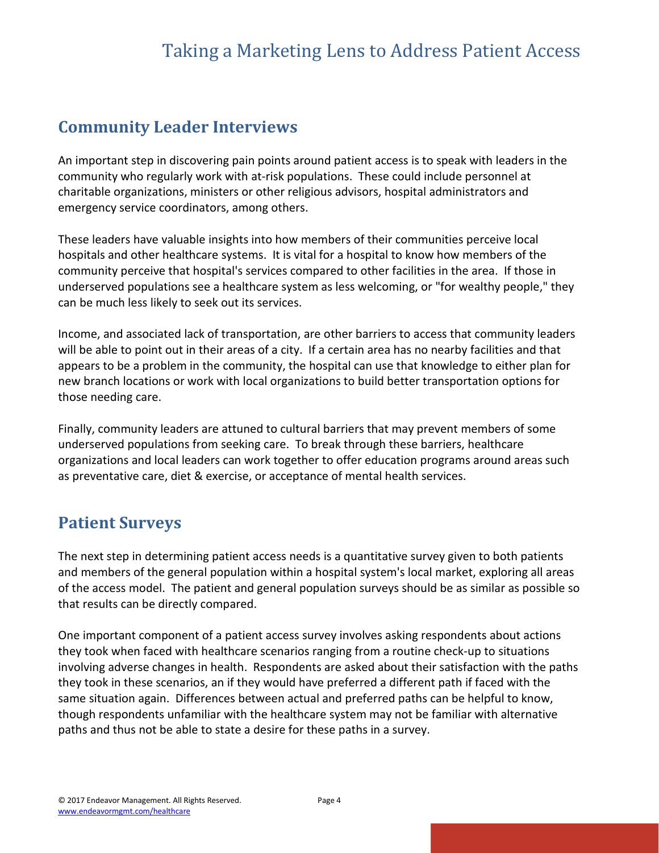#### **Community Leader Interviews**

An important step in discovering pain points around patient access is to speak with leaders in the community who regularly work with at-risk populations. These could include personnel at charitable organizations, ministers or other religious advisors, hospital administrators and emergency service coordinators, among others.

These leaders have valuable insights into how members of their communities perceive local hospitals and other healthcare systems. It is vital for a hospital to know how members of the community perceive that hospital's services compared to other facilities in the area. If those in underserved populations see a healthcare system as less welcoming, or "for wealthy people," they can be much less likely to seek out its services.

Income, and associated lack of transportation, are other barriers to access that community leaders will be able to point out in their areas of a city. If a certain area has no nearby facilities and that appears to be a problem in the community, the hospital can use that knowledge to either plan for new branch locations or work with local organizations to build better transportation options for those needing care.

Finally, community leaders are attuned to cultural barriers that may prevent members of some underserved populations from seeking care. To break through these barriers, healthcare organizations and local leaders can work together to offer education programs around areas such as preventative care, diet & exercise, or acceptance of mental health services.

#### **Patient Surveys**

The next step in determining patient access needs is a quantitative survey given to both patients and members of the general population within a hospital system's local market, exploring all areas of the access model. The patient and general population surveys should be as similar as possible so that results can be directly compared.

One important component of a patient access survey involves asking respondents about actions they took when faced with healthcare scenarios ranging from a routine check-up to situations involving adverse changes in health. Respondents are asked about their satisfaction with the paths they took in these scenarios, an if they would have preferred a different path if faced with the same situation again. Differences between actual and preferred paths can be helpful to know, though respondents unfamiliar with the healthcare system may not be familiar with alternative paths and thus not be able to state a desire for these paths in a survey.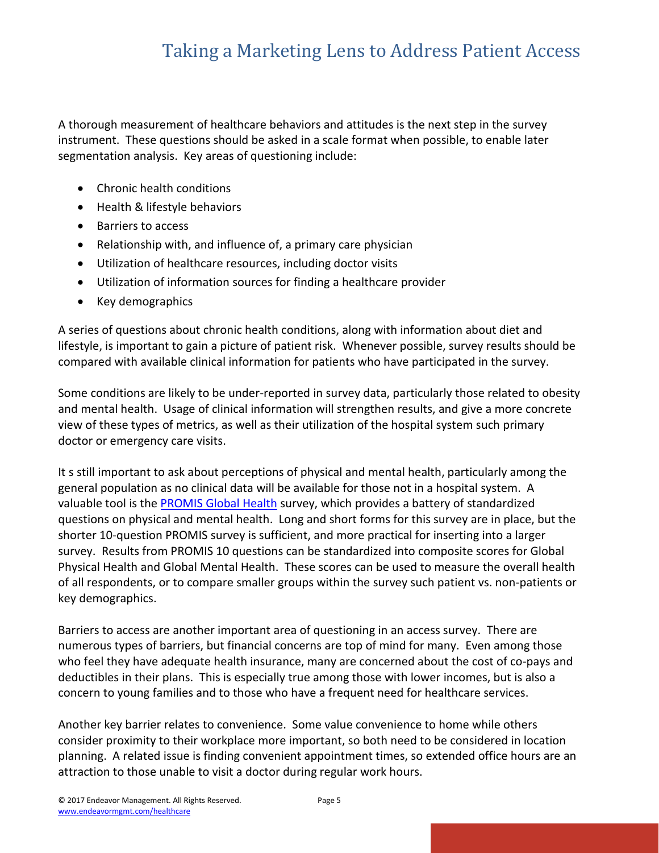A thorough measurement of healthcare behaviors and attitudes is the next step in the survey instrument. These questions should be asked in a scale format when possible, to enable later segmentation analysis. Key areas of questioning include:

- Chronic health conditions
- Health & lifestyle behaviors
- Barriers to access
- Relationship with, and influence of, a primary care physician
- Utilization of healthcare resources, including doctor visits
- Utilization of information sources for finding a healthcare provider
- Key demographics

A series of questions about chronic health conditions, along with information about diet and lifestyle, is important to gain a picture of patient risk. Whenever possible, survey results should be compared with available clinical information for patients who have participated in the survey.

Some conditions are likely to be under-reported in survey data, particularly those related to obesity and mental health. Usage of clinical information will strengthen results, and give a more concrete view of these types of metrics, as well as their utilization of the hospital system such primary doctor or emergency care visits.

It s still important to ask about perceptions of physical and mental health, particularly among the general population as no clinical data will be available for those not in a hospital system. A valuable tool is the [PROMIS Global Health](http://www.healthmeasures.net/explore-measurement-systems/promis/intro-to-promis) survey, which provides a battery of standardized questions on physical and mental health. Long and short forms for this survey are in place, but the shorter 10-question PROMIS survey is sufficient, and more practical for inserting into a larger survey. Results from PROMIS 10 questions can be standardized into composite scores for Global Physical Health and Global Mental Health. These scores can be used to measure the overall health of all respondents, or to compare smaller groups within the survey such patient vs. non-patients or key demographics.

Barriers to access are another important area of questioning in an access survey. There are numerous types of barriers, but financial concerns are top of mind for many. Even among those who feel they have adequate health insurance, many are concerned about the cost of co-pays and deductibles in their plans. This is especially true among those with lower incomes, but is also a concern to young families and to those who have a frequent need for healthcare services.

Another key barrier relates to convenience. Some value convenience to home while others consider proximity to their workplace more important, so both need to be considered in location planning. A related issue is finding convenient appointment times, so extended office hours are an attraction to those unable to visit a doctor during regular work hours.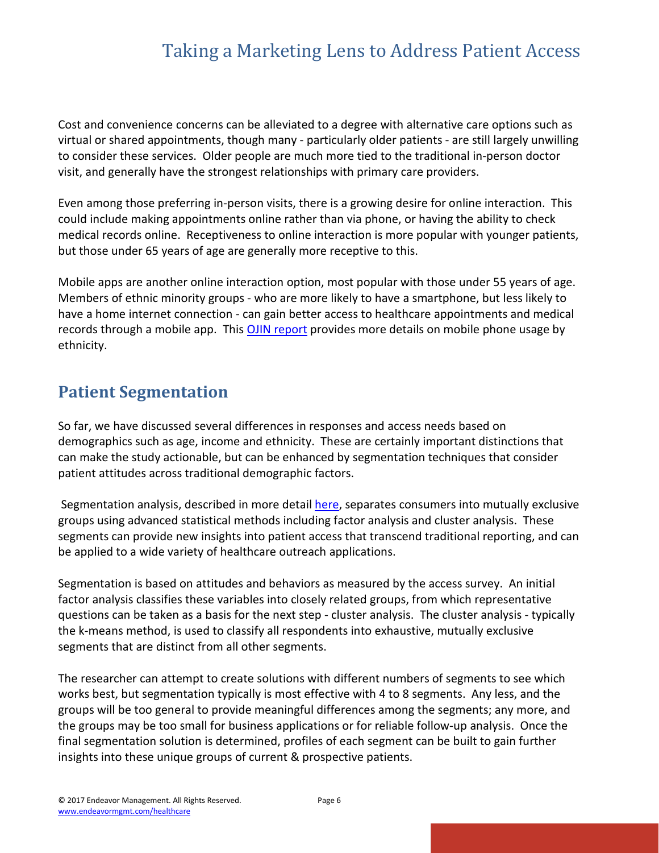Cost and convenience concerns can be alleviated to a degree with alternative care options such as virtual or shared appointments, though many - particularly older patients - are still largely unwilling to consider these services. Older people are much more tied to the traditional in-person doctor visit, and generally have the strongest relationships with primary care providers.

Even among those preferring in-person visits, there is a growing desire for online interaction. This could include making appointments online rather than via phone, or having the ability to check medical records online. Receptiveness to online interaction is more popular with younger patients, but those under 65 years of age are generally more receptive to this.

Mobile apps are another online interaction option, most popular with those under 55 years of age. Members of ethnic minority groups - who are more likely to have a smartphone, but less likely to have a home internet connection - can gain better access to healthcare appointments and medical records through a mobile app. This [OJIN report](http://nursingworld.org/MainMenuCategories/ANAMarketplace/ANAPeriodicals/OJIN/TableofContents/Vol-17-2012/No3-Sept-2012/Communication-Technology-Social-Media.html) provides more details on mobile phone usage by ethnicity.

#### **Patient Segmentation**

So far, we have discussed several differences in responses and access needs based on demographics such as age, income and ethnicity. These are certainly important distinctions that can make the study actionable, but can be enhanced by segmentation techniques that consider patient attitudes across traditional demographic factors.

Segmentation analysis, described in more detai[l here,](http://www.endeavormgmt.com/segmentation-the-foundation-of-marketing-strategy/) separates consumers into mutually exclusive groups using advanced statistical methods including factor analysis and cluster analysis. These segments can provide new insights into patient access that transcend traditional reporting, and can be applied to a wide variety of healthcare outreach applications.

Segmentation is based on attitudes and behaviors as measured by the access survey. An initial factor analysis classifies these variables into closely related groups, from which representative questions can be taken as a basis for the next step - cluster analysis. The cluster analysis - typically the k-means method, is used to classify all respondents into exhaustive, mutually exclusive segments that are distinct from all other segments.

The researcher can attempt to create solutions with different numbers of segments to see which works best, but segmentation typically is most effective with 4 to 8 segments. Any less, and the groups will be too general to provide meaningful differences among the segments; any more, and the groups may be too small for business applications or for reliable follow-up analysis. Once the final segmentation solution is determined, profiles of each segment can be built to gain further insights into these unique groups of current & prospective patients.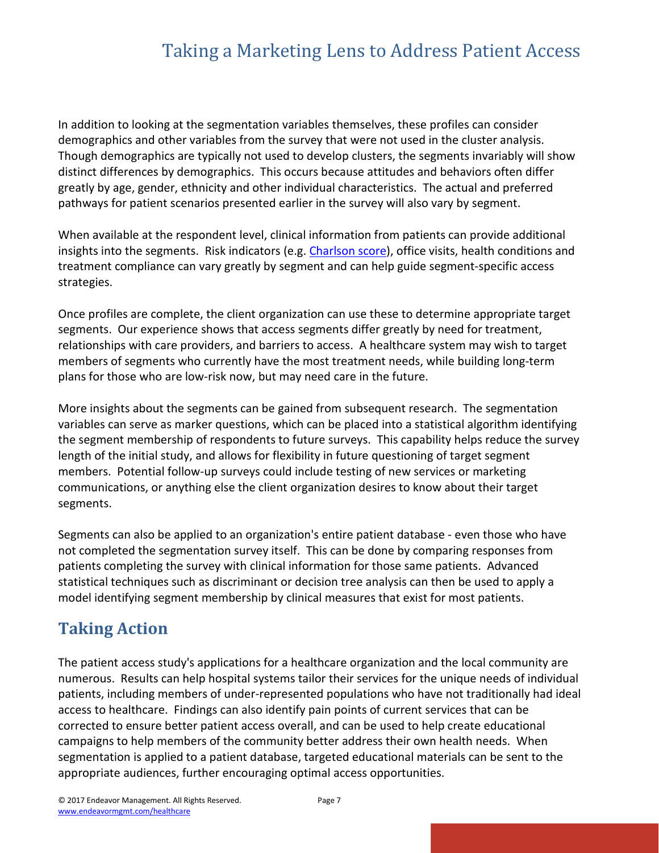In addition to looking at the segmentation variables themselves, these profiles can consider demographics and other variables from the survey that were not used in the cluster analysis. Though demographics are typically not used to develop clusters, the segments invariably will show distinct differences by demographics. This occurs because attitudes and behaviors often differ greatly by age, gender, ethnicity and other individual characteristics. The actual and preferred pathways for patient scenarios presented earlier in the survey will also vary by segment.

When available at the respondent level, clinical information from patients can provide additional insights into the segments. Risk indicators (e.g. [Charlson score\)](http://www.sciencedirect.com/science/article/pii/0021968187901718?via%3Dihub), office visits, health conditions and treatment compliance can vary greatly by segment and can help guide segment-specific access strategies.

Once profiles are complete, the client organization can use these to determine appropriate target segments. Our experience shows that access segments differ greatly by need for treatment, relationships with care providers, and barriers to access. A healthcare system may wish to target members of segments who currently have the most treatment needs, while building long-term plans for those who are low-risk now, but may need care in the future.

More insights about the segments can be gained from subsequent research. The segmentation variables can serve as marker questions, which can be placed into a statistical algorithm identifying the segment membership of respondents to future surveys. This capability helps reduce the survey length of the initial study, and allows for flexibility in future questioning of target segment members. Potential follow-up surveys could include testing of new services or marketing communications, or anything else the client organization desires to know about their target segments.

Segments can also be applied to an organization's entire patient database - even those who have not completed the segmentation survey itself. This can be done by comparing responses from patients completing the survey with clinical information for those same patients. Advanced statistical techniques such as discriminant or decision tree analysis can then be used to apply a model identifying segment membership by clinical measures that exist for most patients.

#### **Taking Action**

The patient access study's applications for a healthcare organization and the local community are numerous. Results can help hospital systems tailor their services for the unique needs of individual patients, including members of under-represented populations who have not traditionally had ideal access to healthcare. Findings can also identify pain points of current services that can be corrected to ensure better patient access overall, and can be used to help create educational campaigns to help members of the community better address their own health needs. When segmentation is applied to a patient database, targeted educational materials can be sent to the appropriate audiences, further encouraging optimal access opportunities.